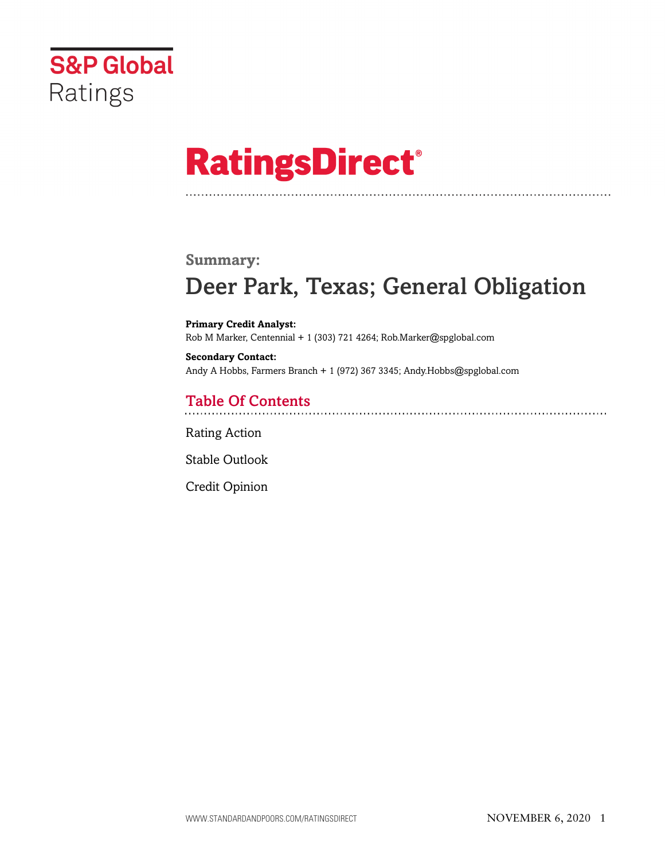

# **RatingsDirect®**

## **Summary:**

# Deer Park, Texas; General Obligation

**Primary Credit Analyst:** Rob M Marker, Centennial + 1 (303) 721 4264; Rob.Marker@spglobal.com

**Secondary Contact:** Andy A Hobbs, Farmers Branch + 1 (972) 367 3345; Andy.Hobbs@spglobal.com

## Table Of Contents

[Rating Action](#page-1-0)

[Stable Outlook](#page-2-0)

[Credit Opinion](#page-3-0)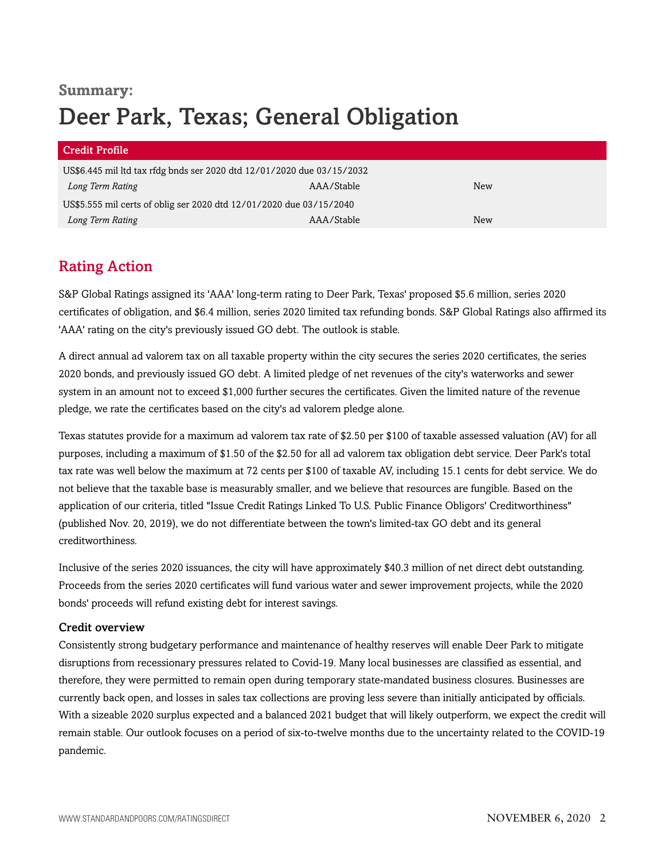## **Summary:** Deer Park, Texas; General Obligation

| <b>Credit Profile</b>                                                  |            |     |  |
|------------------------------------------------------------------------|------------|-----|--|
| US\$6.445 mil ltd tax rfdg bnds ser 2020 dtd 12/01/2020 due 03/15/2032 |            |     |  |
| Long Term Rating                                                       | AAA/Stable | New |  |
| US\$5.555 mil certs of oblig ser 2020 dtd 12/01/2020 due 03/15/2040    |            |     |  |
| Long Term Rating                                                       | AAA/Stable | New |  |

## <span id="page-1-0"></span>Rating Action

S&P Global Ratings assigned its 'AAA' long-term rating to Deer Park, Texas' proposed \$5.6 million, series 2020 certificates of obligation, and \$6.4 million, series 2020 limited tax refunding bonds. S&P Global Ratings also affirmed its 'AAA' rating on the city's previously issued GO debt. The outlook is stable.

A direct annual ad valorem tax on all taxable property within the city secures the series 2020 certificates, the series 2020 bonds, and previously issued GO debt. A limited pledge of net revenues of the city's waterworks and sewer system in an amount not to exceed \$1,000 further secures the certificates. Given the limited nature of the revenue pledge, we rate the certificates based on the city's ad valorem pledge alone.

Texas statutes provide for a maximum ad valorem tax rate of \$2.50 per \$100 of taxable assessed valuation (AV) for all purposes, including a maximum of \$1.50 of the \$2.50 for all ad valorem tax obligation debt service. Deer Park's total tax rate was well below the maximum at 72 cents per \$100 of taxable AV, including 15.1 cents for debt service. We do not believe that the taxable base is measurably smaller, and we believe that resources are fungible. Based on the application of our criteria, titled "Issue Credit Ratings Linked To U.S. Public Finance Obligors' Creditworthiness" (published Nov. 20, 2019), we do not differentiate between the town's limited-tax GO debt and its general creditworthiness.

Inclusive of the series 2020 issuances, the city will have approximately \$40.3 million of net direct debt outstanding. Proceeds from the series 2020 certificates will fund various water and sewer improvement projects, while the 2020 bonds' proceeds will refund existing debt for interest savings.

## Credit overview

Consistently strong budgetary performance and maintenance of healthy reserves will enable Deer Park to mitigate disruptions from recessionary pressures related to Covid-19. Many local businesses are classified as essential, and therefore, they were permitted to remain open during temporary state-mandated business closures. Businesses are currently back open, and losses in sales tax collections are proving less severe than initially anticipated by officials. With a sizeable 2020 surplus expected and a balanced 2021 budget that will likely outperform, we expect the credit will remain stable. Our outlook focuses on a period of six-to-twelve months due to the uncertainty related to the COVID-19 pandemic.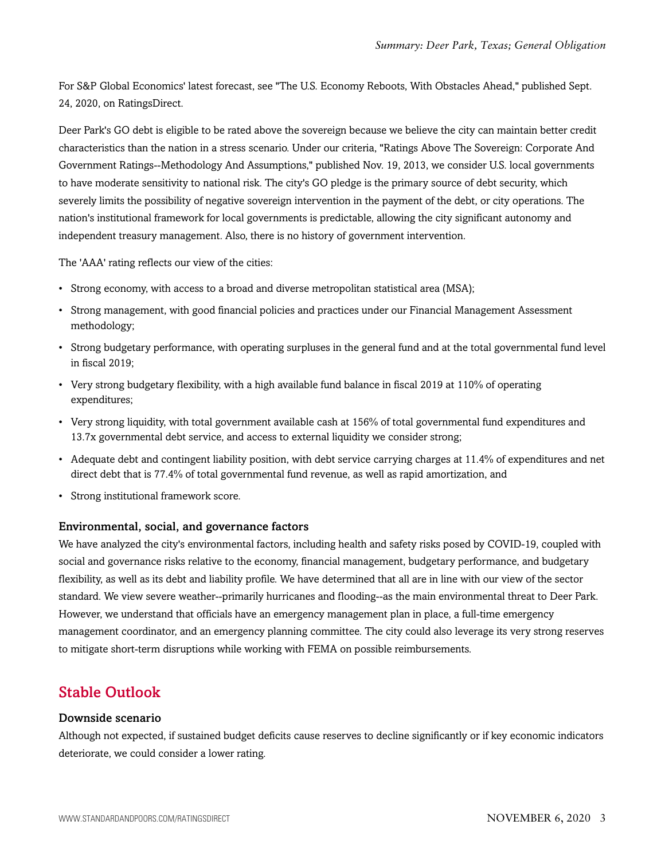For S&P Global Economics' latest forecast, see "The U.S. Economy Reboots, With Obstacles Ahead," published Sept. 24, 2020, on RatingsDirect.

Deer Park's GO debt is eligible to be rated above the sovereign because we believe the city can maintain better credit characteristics than the nation in a stress scenario. Under our criteria, "Ratings Above The Sovereign: Corporate And Government Ratings--Methodology And Assumptions," published Nov. 19, 2013, we consider U.S. local governments to have moderate sensitivity to national risk. The city's GO pledge is the primary source of debt security, which severely limits the possibility of negative sovereign intervention in the payment of the debt, or city operations. The nation's institutional framework for local governments is predictable, allowing the city significant autonomy and independent treasury management. Also, there is no history of government intervention.

The 'AAA' rating reflects our view of the cities:

- Strong economy, with access to a broad and diverse metropolitan statistical area (MSA);
- Strong management, with good financial policies and practices under our Financial Management Assessment methodology;
- Strong budgetary performance, with operating surpluses in the general fund and at the total governmental fund level in fiscal 2019;
- Very strong budgetary flexibility, with a high available fund balance in fiscal 2019 at 110% of operating expenditures;
- Very strong liquidity, with total government available cash at 156% of total governmental fund expenditures and 13.7x governmental debt service, and access to external liquidity we consider strong;
- Adequate debt and contingent liability position, with debt service carrying charges at 11.4% of expenditures and net direct debt that is 77.4% of total governmental fund revenue, as well as rapid amortization, and
- Strong institutional framework score.

## Environmental, social, and governance factors

We have analyzed the city's environmental factors, including health and safety risks posed by COVID-19, coupled with social and governance risks relative to the economy, financial management, budgetary performance, and budgetary flexibility, as well as its debt and liability profile. We have determined that all are in line with our view of the sector standard. We view severe weather--primarily hurricanes and flooding--as the main environmental threat to Deer Park. However, we understand that officials have an emergency management plan in place, a full-time emergency management coordinator, and an emergency planning committee. The city could also leverage its very strong reserves to mitigate short-term disruptions while working with FEMA on possible reimbursements.

## <span id="page-2-0"></span>Stable Outlook

## Downside scenario

Although not expected, if sustained budget deficits cause reserves to decline significantly or if key economic indicators deteriorate, we could consider a lower rating.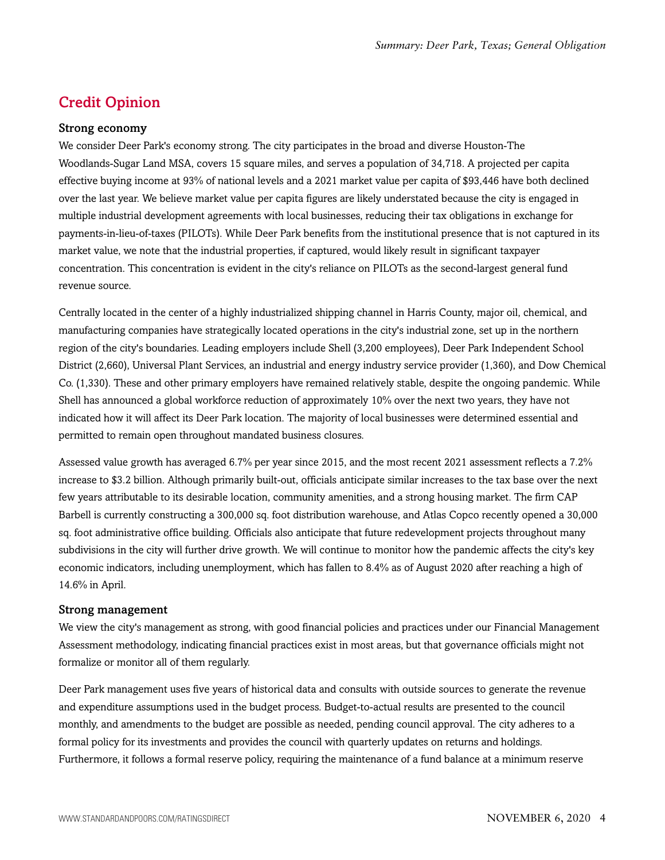## <span id="page-3-0"></span>Credit Opinion

#### Strong economy

We consider Deer Park's economy strong. The city participates in the broad and diverse Houston-The Woodlands-Sugar Land MSA, covers 15 square miles, and serves a population of 34,718. A projected per capita effective buying income at 93% of national levels and a 2021 market value per capita of \$93,446 have both declined over the last year. We believe market value per capita figures are likely understated because the city is engaged in multiple industrial development agreements with local businesses, reducing their tax obligations in exchange for payments-in-lieu-of-taxes (PILOTs). While Deer Park benefits from the institutional presence that is not captured in its market value, we note that the industrial properties, if captured, would likely result in significant taxpayer concentration. This concentration is evident in the city's reliance on PILOTs as the second-largest general fund revenue source.

Centrally located in the center of a highly industrialized shipping channel in Harris County, major oil, chemical, and manufacturing companies have strategically located operations in the city's industrial zone, set up in the northern region of the city's boundaries. Leading employers include Shell (3,200 employees), Deer Park Independent School District (2,660), Universal Plant Services, an industrial and energy industry service provider (1,360), and Dow Chemical Co. (1,330). These and other primary employers have remained relatively stable, despite the ongoing pandemic. While Shell has announced a global workforce reduction of approximately 10% over the next two years, they have not indicated how it will affect its Deer Park location. The majority of local businesses were determined essential and permitted to remain open throughout mandated business closures.

Assessed value growth has averaged 6.7% per year since 2015, and the most recent 2021 assessment reflects a 7.2% increase to \$3.2 billion. Although primarily built-out, officials anticipate similar increases to the tax base over the next few years attributable to its desirable location, community amenities, and a strong housing market. The firm CAP Barbell is currently constructing a 300,000 sq. foot distribution warehouse, and Atlas Copco recently opened a 30,000 sq. foot administrative office building. Officials also anticipate that future redevelopment projects throughout many subdivisions in the city will further drive growth. We will continue to monitor how the pandemic affects the city's key economic indicators, including unemployment, which has fallen to 8.4% as of August 2020 after reaching a high of 14.6% in April.

#### Strong management

We view the city's management as strong, with good financial policies and practices under our Financial Management Assessment methodology, indicating financial practices exist in most areas, but that governance officials might not formalize or monitor all of them regularly.

Deer Park management uses five years of historical data and consults with outside sources to generate the revenue and expenditure assumptions used in the budget process. Budget-to-actual results are presented to the council monthly, and amendments to the budget are possible as needed, pending council approval. The city adheres to a formal policy for its investments and provides the council with quarterly updates on returns and holdings. Furthermore, it follows a formal reserve policy, requiring the maintenance of a fund balance at a minimum reserve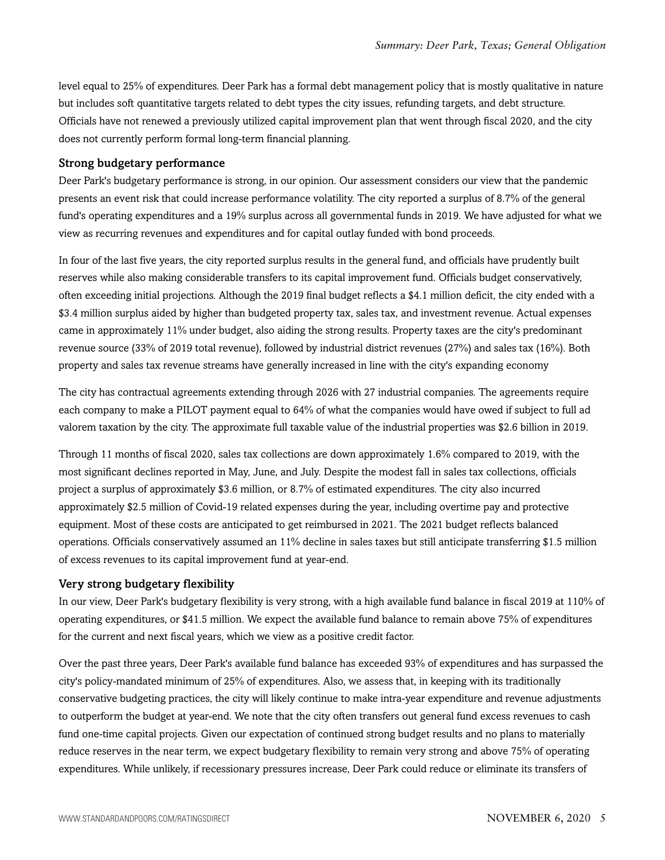level equal to 25% of expenditures. Deer Park has a formal debt management policy that is mostly qualitative in nature but includes soft quantitative targets related to debt types the city issues, refunding targets, and debt structure. Officials have not renewed a previously utilized capital improvement plan that went through fiscal 2020, and the city does not currently perform formal long-term financial planning.

#### Strong budgetary performance

Deer Park's budgetary performance is strong, in our opinion. Our assessment considers our view that the pandemic presents an event risk that could increase performance volatility. The city reported a surplus of 8.7% of the general fund's operating expenditures and a 19% surplus across all governmental funds in 2019. We have adjusted for what we view as recurring revenues and expenditures and for capital outlay funded with bond proceeds.

In four of the last five years, the city reported surplus results in the general fund, and officials have prudently built reserves while also making considerable transfers to its capital improvement fund. Officials budget conservatively, often exceeding initial projections. Although the 2019 final budget reflects a \$4.1 million deficit, the city ended with a \$3.4 million surplus aided by higher than budgeted property tax, sales tax, and investment revenue. Actual expenses came in approximately 11% under budget, also aiding the strong results. Property taxes are the city's predominant revenue source (33% of 2019 total revenue), followed by industrial district revenues (27%) and sales tax (16%). Both property and sales tax revenue streams have generally increased in line with the city's expanding economy

The city has contractual agreements extending through 2026 with 27 industrial companies. The agreements require each company to make a PILOT payment equal to 64% of what the companies would have owed if subject to full ad valorem taxation by the city. The approximate full taxable value of the industrial properties was \$2.6 billion in 2019.

Through 11 months of fiscal 2020, sales tax collections are down approximately 1.6% compared to 2019, with the most significant declines reported in May, June, and July. Despite the modest fall in sales tax collections, officials project a surplus of approximately \$3.6 million, or 8.7% of estimated expenditures. The city also incurred approximately \$2.5 million of Covid-19 related expenses during the year, including overtime pay and protective equipment. Most of these costs are anticipated to get reimbursed in 2021. The 2021 budget reflects balanced operations. Officials conservatively assumed an 11% decline in sales taxes but still anticipate transferring \$1.5 million of excess revenues to its capital improvement fund at year-end.

## Very strong budgetary flexibility

In our view, Deer Park's budgetary flexibility is very strong, with a high available fund balance in fiscal 2019 at 110% of operating expenditures, or \$41.5 million. We expect the available fund balance to remain above 75% of expenditures for the current and next fiscal years, which we view as a positive credit factor.

Over the past three years, Deer Park's available fund balance has exceeded 93% of expenditures and has surpassed the city's policy-mandated minimum of 25% of expenditures. Also, we assess that, in keeping with its traditionally conservative budgeting practices, the city will likely continue to make intra-year expenditure and revenue adjustments to outperform the budget at year-end. We note that the city often transfers out general fund excess revenues to cash fund one-time capital projects. Given our expectation of continued strong budget results and no plans to materially reduce reserves in the near term, we expect budgetary flexibility to remain very strong and above 75% of operating expenditures. While unlikely, if recessionary pressures increase, Deer Park could reduce or eliminate its transfers of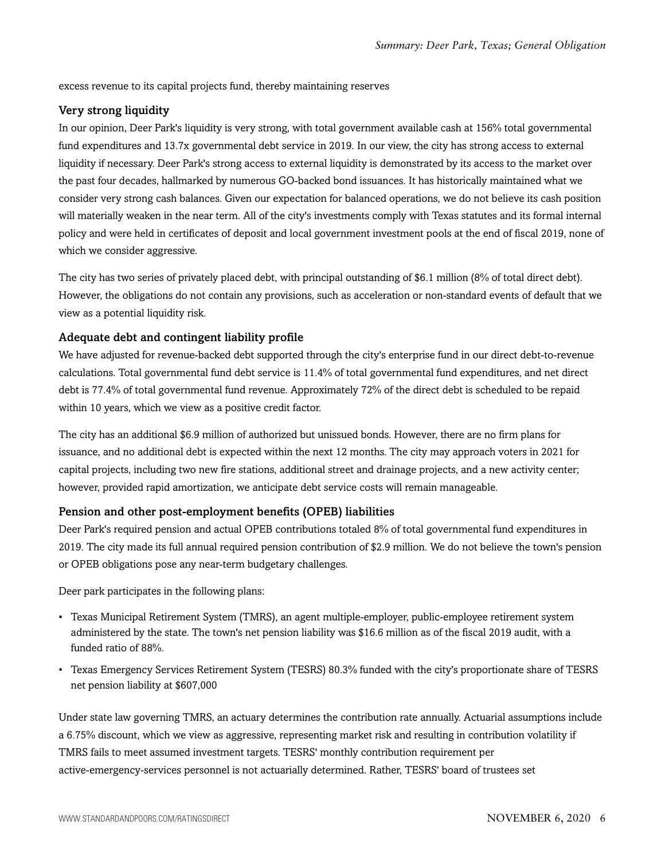excess revenue to its capital projects fund, thereby maintaining reserves

## Very strong liquidity

In our opinion, Deer Park's liquidity is very strong, with total government available cash at 156% total governmental fund expenditures and 13.7x governmental debt service in 2019. In our view, the city has strong access to external liquidity if necessary. Deer Park's strong access to external liquidity is demonstrated by its access to the market over the past four decades, hallmarked by numerous GO-backed bond issuances. It has historically maintained what we consider very strong cash balances. Given our expectation for balanced operations, we do not believe its cash position will materially weaken in the near term. All of the city's investments comply with Texas statutes and its formal internal policy and were held in certificates of deposit and local government investment pools at the end of fiscal 2019, none of which we consider aggressive.

The city has two series of privately placed debt, with principal outstanding of \$6.1 million (8% of total direct debt). However, the obligations do not contain any provisions, such as acceleration or non-standard events of default that we view as a potential liquidity risk.

## Adequate debt and contingent liability profile

We have adjusted for revenue-backed debt supported through the city's enterprise fund in our direct debt-to-revenue calculations. Total governmental fund debt service is 11.4% of total governmental fund expenditures, and net direct debt is 77.4% of total governmental fund revenue. Approximately 72% of the direct debt is scheduled to be repaid within 10 years, which we view as a positive credit factor.

The city has an additional \$6.9 million of authorized but unissued bonds. However, there are no firm plans for issuance, and no additional debt is expected within the next 12 months. The city may approach voters in 2021 for capital projects, including two new fire stations, additional street and drainage projects, and a new activity center; however, provided rapid amortization, we anticipate debt service costs will remain manageable.

## Pension and other post-employment benefits (OPEB) liabilities

Deer Park's required pension and actual OPEB contributions totaled 8% of total governmental fund expenditures in 2019. The city made its full annual required pension contribution of \$2.9 million. We do not believe the town's pension or OPEB obligations pose any near-term budgetary challenges.

Deer park participates in the following plans:

- Texas Municipal Retirement System (TMRS), an agent multiple-employer, public-employee retirement system administered by the state. The town's net pension liability was \$16.6 million as of the fiscal 2019 audit, with a funded ratio of 88%.
- Texas Emergency Services Retirement System (TESRS) 80.3% funded with the city's proportionate share of TESRS net pension liability at \$607,000

Under state law governing TMRS, an actuary determines the contribution rate annually. Actuarial assumptions include a 6.75% discount, which we view as aggressive, representing market risk and resulting in contribution volatility if TMRS fails to meet assumed investment targets. TESRS' monthly contribution requirement per active-emergency-services personnel is not actuarially determined. Rather, TESRS' board of trustees set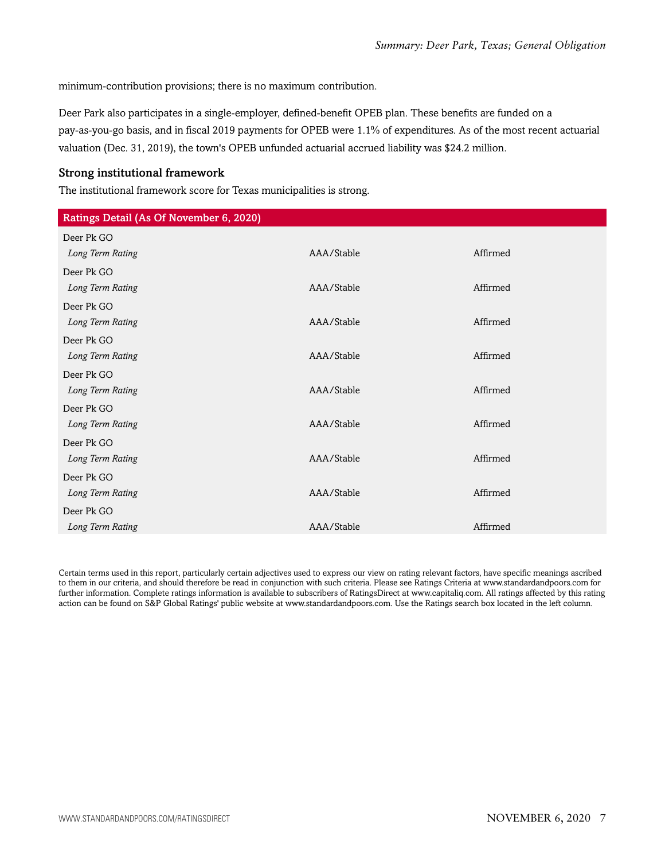minimum-contribution provisions; there is no maximum contribution.

Deer Park also participates in a single-employer, defined-benefit OPEB plan. These benefits are funded on a pay-as-you-go basis, and in fiscal 2019 payments for OPEB were 1.1% of expenditures. As of the most recent actuarial valuation (Dec. 31, 2019), the town's OPEB unfunded actuarial accrued liability was \$24.2 million.

## Strong institutional framework

The institutional framework score for Texas municipalities is strong.

| Ratings Detail (As Of November 6, 2020) |            |          |
|-----------------------------------------|------------|----------|
| Deer Pk GO                              |            |          |
| Long Term Rating                        | AAA/Stable | Affirmed |
| Deer Pk GO                              |            |          |
| Long Term Rating                        | AAA/Stable | Affirmed |
| Deer Pk GO                              |            |          |
| Long Term Rating                        | AAA/Stable | Affirmed |
| Deer Pk GO                              |            |          |
| Long Term Rating                        | AAA/Stable | Affirmed |
| Deer Pk GO                              |            |          |
| Long Term Rating                        | AAA/Stable | Affirmed |
| Deer Pk GO                              |            |          |
| Long Term Rating                        | AAA/Stable | Affirmed |
| Deer Pk GO                              |            |          |
| Long Term Rating                        | AAA/Stable | Affirmed |
| Deer Pk GO                              |            |          |
| Long Term Rating                        | AAA/Stable | Affirmed |
| Deer Pk GO                              |            |          |
| Long Term Rating                        | AAA/Stable | Affirmed |

Certain terms used in this report, particularly certain adjectives used to express our view on rating relevant factors, have specific meanings ascribed to them in our criteria, and should therefore be read in conjunction with such criteria. Please see Ratings Criteria at www.standardandpoors.com for further information. Complete ratings information is available to subscribers of RatingsDirect at www.capitaliq.com. All ratings affected by this rating action can be found on S&P Global Ratings' public website at www.standardandpoors.com. Use the Ratings search box located in the left column.